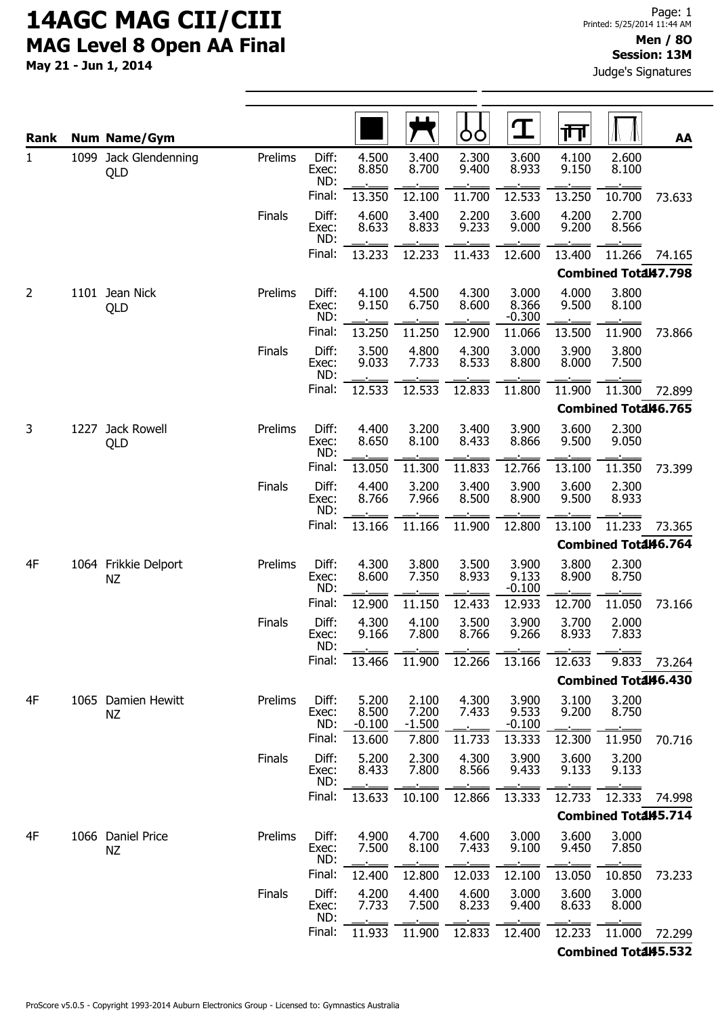| <b>Rank</b>  |      | <b>Num Name/Gym</b>             |               |                       |                            |                            | ÒÓ             | $\mathbf T$                | गि             |                             | AA     |
|--------------|------|---------------------------------|---------------|-----------------------|----------------------------|----------------------------|----------------|----------------------------|----------------|-----------------------------|--------|
| $\mathbf{1}$ |      | 1099 Jack Glendenning<br>QLD    | Prelims       | Diff:<br>Exec:<br>ND: | 4.500<br>8.850             | 3.400<br>8.700             | 2.300<br>9.400 | 3.600<br>8.933             | 4.100<br>9.150 | 2.600<br>8.100              |        |
|              |      |                                 |               | Final:                | 13.350                     | 12.100                     | 11.700         | 12.533                     | 13.250         | 10.700                      | 73.633 |
|              |      |                                 | Finals        | Diff:<br>Exec:<br>ND: | 4.600<br>8.633             | 3.400<br>8.833             | 2.200<br>9.233 | 3.600<br>9.000             | 4.200<br>9.200 | 2.700<br>8.566              |        |
|              |      |                                 |               | Final:                | 13.233                     | 12.233                     | 11.433         | 12.600                     | 13.400         | 11.266                      | 74.165 |
|              |      |                                 |               |                       |                            |                            |                |                            |                | Combined Total47.798        |        |
| 2            |      | 1101 Jean Nick<br>QLD           | Prelims       | Diff:<br>Exec:<br>ND: | 4.100<br>9.150             | 4.500<br>6.750             | 4.300<br>8.600 | 3.000<br>8.366<br>$-0.300$ | 4.000<br>9.500 | 3.800<br>8.100              |        |
|              |      |                                 |               | Final:                | 13.250                     | 11.250                     | 12.900         | 11.066                     | 13.500         | 11.900                      | 73.866 |
|              |      |                                 | Finals        | Diff:<br>Exec:<br>ND: | 3.500<br>9.033             | 4.800<br>7.733             | 4.300<br>8.533 | 3.000<br>8.800             | 3.900<br>8.000 | 3.800<br>7.500              |        |
|              |      |                                 |               | Final:                | 12.533                     | 12.533                     | 12.833         | 11.800                     | 11.900         | 11.300                      | 72.899 |
|              |      |                                 |               |                       |                            |                            |                |                            |                | Combined Total46.765        |        |
| 3            | 1227 | Jack Rowell<br>QLD              | Prelims       | Diff:<br>Exec:<br>ND: | 4.400<br>8.650             | 3.200<br>8.100             | 3.400<br>8.433 | 3.900<br>8.866             | 3.600<br>9.500 | 2.300<br>9.050              |        |
|              |      |                                 |               | Final:                | 13.050                     | 11.300                     | 11.833         | 12.766                     | 13.100         | 11.350                      | 73.399 |
|              |      |                                 | Finals        | Diff:<br>Exec:<br>ND: | 4.400<br>8.766             | 3.200<br>7.966             | 3.400<br>8.500 | 3.900<br>8.900             | 3.600<br>9.500 | 2.300<br>8.933              |        |
|              |      |                                 |               | Final:                | 13.166                     | 11.166                     | 11.900         | 12.800                     | 13.100         | 11.233                      | 73.365 |
|              |      |                                 |               |                       |                            |                            |                |                            |                | <b>Combined Total46.764</b> |        |
| 4F           |      | 1064 Frikkie Delport<br>NZ      | Prelims       | Diff:<br>Exec:<br>ND: | 4.300<br>8.600             | 3.800<br>7.350             | 3.500<br>8.933 | 3.900<br>9.133<br>$-0.100$ | 3.800<br>8.900 | 2.300<br>8.750              |        |
|              |      |                                 |               | Final:                | 12.900                     | 11.150                     | 12.433         | 12.933                     | 12.700         | 11.050                      | 73.166 |
|              |      |                                 | Finals        | Diff:<br>Exec:<br>ND: | 4.300<br>9.166             | 4.100<br>7.800             | 3.500<br>8.766 | 3.900<br>9.266             | 3.700<br>8.933 | 2.000<br>7.833              |        |
|              |      |                                 |               | Final:                | 13.466                     | 11.900                     | 12.266         | 13.166                     | 12.633         | 9.833                       | 73.264 |
|              |      |                                 |               |                       |                            |                            |                |                            |                | Combined Total46.430        |        |
| 4F           |      | 1065 Damien Hewitt<br><b>NZ</b> | Prelims       | Diff:<br>Exec:<br>ND: | 5.200<br>8.500<br>$-0.100$ | 2.100<br>7.200<br>$-1.500$ | 4.300<br>7.433 | 3.900<br>9.533<br>$-0.100$ | 3.100<br>9.200 | 3.200<br>8.750              |        |
|              |      |                                 |               | Final:                | 13.600                     | 7.800                      | 11.733         | 13.333                     | 12.300         | 11.950                      | 70.716 |
|              |      |                                 | Finals        | Diff:<br>Exec:<br>ND: | 5.200<br>8.433             | 2.300<br>7.800             | 4.300<br>8.566 | 3.900<br>9.433             | 3.600<br>9.133 | 3.200<br>9.133              |        |
|              |      |                                 |               | Final:                | 13.633                     | 10.100                     | 12.866         | 13.333                     | 12.733         | 12.333                      | 74.998 |
|              |      |                                 |               |                       |                            |                            |                |                            |                | <b>Combined Total45.714</b> |        |
| 4F           |      | 1066 Daniel Price<br><b>NZ</b>  | Prelims       | Diff:<br>Exec:<br>ND: | 4.900<br>7.500             | 4.700<br>8.100             | 4.600<br>7.433 | 3.000<br>9.100             | 3.600<br>9.450 | 3.000<br>7.850              |        |
|              |      |                                 |               | Final:                | 12.400                     | 12.800                     | 12.033         | 12.100                     | 13.050         | 10.850                      | 73.233 |
|              |      |                                 | <b>Finals</b> | Diff:<br>Exec:<br>ND: | 4.200<br>7.733             | 4.400<br>7.500             | 4.600<br>8.233 | 3.000<br>9.400             | 3.600<br>8.633 | 3.000<br>8.000              |        |
|              |      |                                 |               | Final:                | 11.933                     | 11.900                     | 12.833         | 12.400                     | 12.233         | 11.000                      | 72.299 |
|              |      |                                 |               |                       |                            |                            |                |                            |                | <b>Combined Total45.532</b> |        |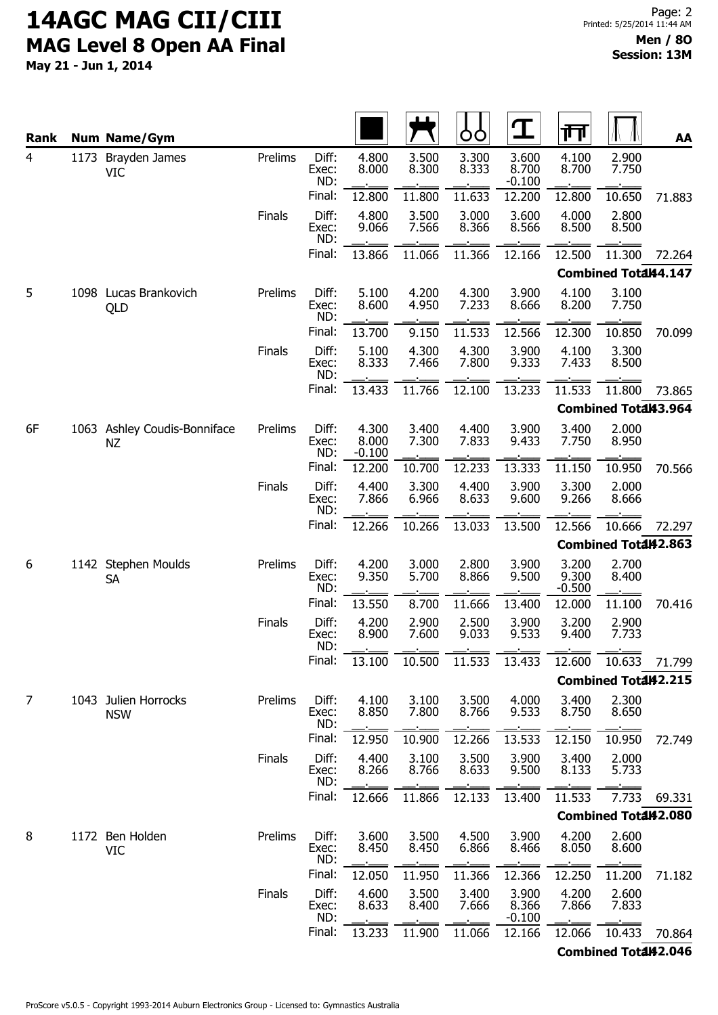May 21 - Jun 1, 2014

| Rank           |      | <b>Num Name/Gym</b>                       |               |                                 |                            |                          | OO             | <u>ፐ</u>                   | गा                         |                             | AA     |
|----------------|------|-------------------------------------------|---------------|---------------------------------|----------------------------|--------------------------|----------------|----------------------------|----------------------------|-----------------------------|--------|
| $\overline{4}$ | 1173 | Brayden James<br><b>VIC</b>               | Prelims       | Diff:<br>Exec:<br>ND:           | 4.800<br>8.000             | 3.500<br>8.300           | 3.300<br>8.333 | 3.600<br>8.700<br>$-0.100$ | 4.100<br>8.700             | 2.900<br>7.750              |        |
|                |      |                                           |               | Final:                          | 12.800                     | 11.800                   | 11.633         | 12.200                     | 12.800                     | 10.650                      | 71.883 |
|                |      |                                           | <b>Finals</b> | Diff:<br>Exec:<br>ND:           | 4.800<br>9.066             | 3.500<br>7.566           | 3.000<br>8.366 | 3.600<br>8.566             | 4.000<br>8.500             | 2.800<br>8.500              |        |
|                |      |                                           |               | Final:                          | 13.866                     | 11.066                   | 11.366         | 12.166                     | 12.500                     | 11.300                      | 72.264 |
|                |      |                                           |               |                                 |                            |                          |                |                            |                            | <b>Combined Total44.147</b> |        |
| 5              |      | 1098 Lucas Brankovich<br>QLD              | Prelims       | Diff:<br>Exec:<br>ND:           | 5.100<br>8.600             | 4.200<br>4.950           | 4.300<br>7.233 | 3.900<br>8.666             | 4.100<br>8.200             | 3.100<br>7.750              |        |
|                |      |                                           |               | Final:                          | 13.700                     | 9.150                    | 11.533         | 12.566                     | 12.300                     | 10.850                      | 70.099 |
|                |      |                                           | <b>Finals</b> | Diff:<br>Exec:<br>ND:           | 5.100<br>8.333             | 4.300<br>7.466           | 4.300<br>7.800 | 3.900<br>9.333             | 4.100<br>7.433             | 3.300<br>8.500              |        |
|                |      |                                           |               | Final:                          | 13.433                     | 11.766                   | 12.100         | 13.233                     | 11.533                     | 11.800                      | 73.865 |
|                |      |                                           |               |                                 |                            |                          |                |                            |                            | <b>Combined Total43.964</b> |        |
| 6F             |      | 1063 Ashley Coudis-Bonniface<br><b>NZ</b> | Prelims       | Diff:<br>Exec:<br>ND:           | 4.300<br>8.000<br>$-0.100$ | 3.400<br>7.300           | 4.400<br>7.833 | 3.900<br>9.433             | 3.400<br>7.750             | 2.000<br>8.950              |        |
|                |      |                                           |               | Final:                          | 12.200                     | 10.700                   | 12.233         | 13.333                     | 11.150                     | 10.950                      | 70.566 |
|                |      |                                           | Finals        | Diff:<br>Exec:<br>ND:           | 4.400<br>7.866             | 3.300<br>6.966           | 4.400<br>8.633 | 3.900<br>9.600             | 3.300<br>9.266             | 2.000<br>8.666              |        |
|                |      |                                           |               | Final:                          | 12.266                     | 10.266                   | 13.033         | 13.500                     | 12.566                     | 10.666                      | 72.297 |
|                |      |                                           |               |                                 |                            |                          |                |                            |                            | Combined Total42.863        |        |
| 6              |      | 1142 Stephen Moulds<br>SA                 | Prelims       | Diff:<br>Exec:<br>ND:           | 4.200<br>9.350             | 3.000<br>5.700           | 2.800<br>8.866 | 3.900<br>9.500             | 3.200<br>9.300<br>$-0.500$ | 2.700<br>8.400              |        |
|                |      |                                           |               | Final:                          | 13.550                     | 8.700                    | 11.666         | 13.400                     | 12.000                     | 11.100                      | 70.416 |
|                |      |                                           | Finals        | Diff:<br>Exec:<br>ND:           | 4.200<br>8.900             | 2.900<br>7.600           | 2.500<br>9.033 | 3.900<br>9.533             | 3.200<br>9.400             | 2.900<br>7.733              |        |
|                |      |                                           |               | Final:                          |                            |                          |                |                            |                            | 10.633                      | 71.799 |
|                |      |                                           |               |                                 | 13.100                     | 10.500                   | 11.533         | 13.433                     | 12.600                     |                             |        |
| 7              |      |                                           |               |                                 |                            |                          |                |                            |                            | <b>Combined Total42.215</b> |        |
|                |      | 1043 Julien Horrocks<br><b>NSW</b>        | Prelims       | Diff:<br>Exec:<br>ND:           | 4.100<br>8.850             | 3.100<br>7.800           | 3.500<br>8.766 | 4.000<br>9.533             | 3.400<br>8.750             | 2.300<br>8.650              |        |
|                |      |                                           |               | Final:                          | 12.950                     | 10.900                   | 12.266         | 13.533                     | 12.150                     | 10.950                      | 72.749 |
|                |      |                                           | <b>Finals</b> | Diff:<br>Exec:<br>ND:           | 4.400<br>8.266             | 3.100<br>8.766           | 3.500<br>8.633 | 3.900<br>9.500             | 3.400<br>8.133             | 2.000<br>5.733              |        |
|                |      |                                           |               | Final:                          | 12.666                     | 11.866                   | 12.133         | 13.400                     | 11.533                     | 7.733                       | 69.331 |
|                |      |                                           |               |                                 |                            |                          |                |                            |                            | Combined Total42.080        |        |
| 8              |      | 1172 Ben Holden<br>VIC                    | Prelims       | Diff:<br>Exec:<br>ND:           | 3.600<br>8.450             | 3.500<br>8.450           | 4.500<br>6.866 | 3.900<br>8.466             | 4.200<br>8.050             | 2.600<br>8.600              |        |
|                |      |                                           |               | Final:                          | 12.050                     | 11.950                   | 11.366         | 12.366                     | 12.250                     | 11.200                      | 71.182 |
|                |      |                                           | <b>Finals</b> | Diff:<br>Exec:<br>ND:<br>Final: | 4.600<br>8.633             | 3.500<br>8.400<br>11.900 | 3.400<br>7.666 | 3.900<br>8.366<br>$-0.100$ | 4.200<br>7.866             | 2.600<br>7.833              |        |

Combined Total42.046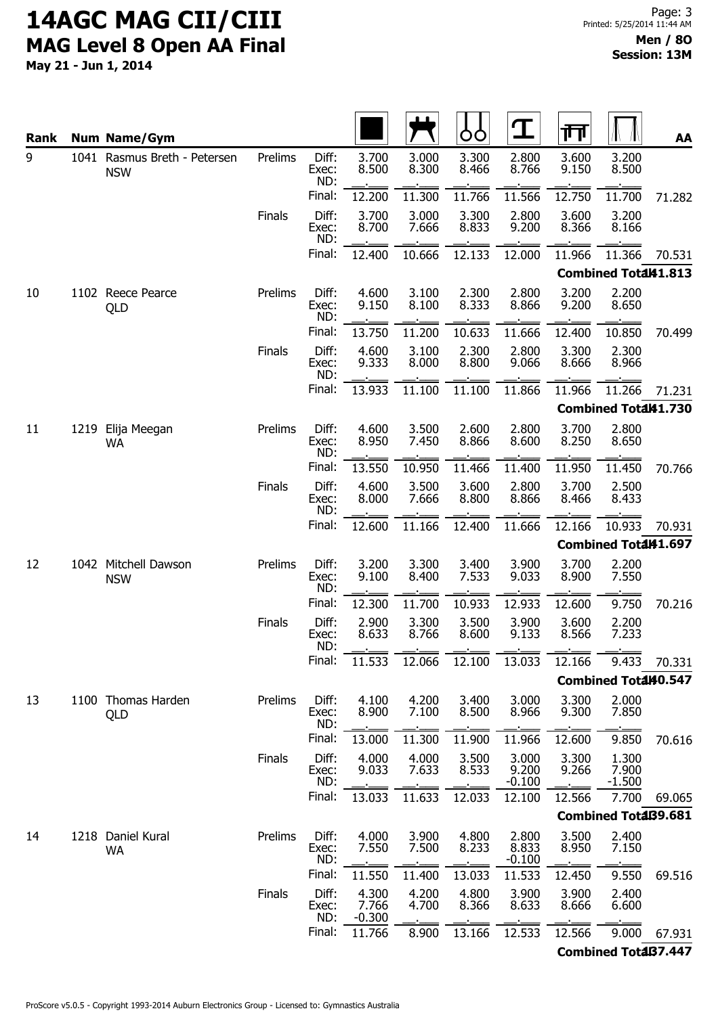|           |      |                                                     |               |                       |                            | ப              |                | ${\bf T}$                  | 帀              |                             |        |
|-----------|------|-----------------------------------------------------|---------------|-----------------------|----------------------------|----------------|----------------|----------------------------|----------------|-----------------------------|--------|
| Rank<br>9 |      | <b>Num Name/Gym</b><br>1041 Rasmus Breth - Petersen | Prelims       | Diff:                 | 3.700                      | 3.000          | O<br>3.300     | 2.800                      | 3.600          | 3.200                       | AA     |
|           |      | <b>NSW</b>                                          |               | Exec:<br>ND:          | 8.500                      | 8.300          | 8.466          | 8.766                      | 9.150          | 8.500                       |        |
|           |      |                                                     |               | Final:                | 12.200                     | 11.300         | 11.766         | 11.566                     | 12.750         | 11.700                      | 71.282 |
|           |      |                                                     | <b>Finals</b> | Diff:<br>Exec:<br>ND: | 3.700<br>8.700             | 3.000<br>7.666 | 3.300<br>8.833 | 2.800<br>9.200             | 3.600<br>8.366 | 3.200<br>8.166              |        |
|           |      |                                                     |               | Final:                | 12.400                     | 10.666         | 12.133         | 12.000                     | 11.966         | 11.366                      | 70.531 |
|           |      |                                                     |               |                       |                            |                |                |                            |                | <b>Combined Total41.813</b> |        |
| 10        |      | 1102 Reece Pearce<br>QLD                            | Prelims       | Diff:<br>Exec:<br>ND: | 4.600<br>9.150             | 3.100<br>8.100 | 2.300<br>8.333 | 2.800<br>8.866             | 3.200<br>9.200 | 2.200<br>8.650              |        |
|           |      |                                                     |               | Final:                | 13.750                     | 11.200         | 10.633         | 11.666                     | 12.400         | 10.850                      | 70.499 |
|           |      |                                                     | <b>Finals</b> | Diff:<br>Exec:<br>ND: | 4.600<br>9.333             | 3.100<br>8.000 | 2.300<br>8.800 | 2.800<br>9.066             | 3.300<br>8.666 | 2.300<br>8.966              |        |
|           |      |                                                     |               | Final:                | 13.933                     | 11.100         | 11.100         | 11.866                     | 11.966         | 11.266                      | 71.231 |
|           |      |                                                     |               |                       |                            |                |                |                            |                | Combined Total41.730        |        |
| 11        | 1219 | Elija Meegan<br><b>WA</b>                           | Prelims       | Diff:<br>Exec:<br>ND: | 4.600<br>8.950             | 3.500<br>7.450 | 2.600<br>8.866 | 2.800<br>8.600             | 3.700<br>8.250 | 2.800<br>8.650              |        |
|           |      |                                                     |               | Final:                | 13.550                     | 10.950         | 11.466         | 11.400                     | 11.950         | 11.450                      | 70.766 |
|           |      |                                                     | Finals        | Diff:<br>Exec:<br>ND: | 4.600<br>8.000             | 3.500<br>7.666 | 3.600<br>8.800 | 2.800<br>8.866             | 3.700<br>8.466 | 2.500<br>8.433              |        |
|           |      |                                                     |               | Final:                | 12.600                     | 11.166         | 12.400         | 11.666                     | 12.166         | 10.933                      | 70.931 |
|           |      |                                                     |               |                       |                            |                |                |                            |                | Combined Total41.697        |        |
| 12        |      | 1042 Mitchell Dawson<br><b>NSW</b>                  | Prelims       | Diff:<br>Exec:<br>ND: | 3.200<br>9.100             | 3.300<br>8.400 | 3.400<br>7.533 | 3.900<br>9.033             | 3.700<br>8.900 | 2.200<br>7.550              |        |
|           |      |                                                     |               | Final:                | 12.300                     | 11.700         | 10.933         | 12.933                     | 12.600         | 9.750                       | 70.216 |
|           |      |                                                     | <b>Finals</b> | Diff:<br>Exec:<br>ND: | 2.900<br>8.633             | 3.300<br>8.766 | 3.500<br>8.600 | 3.900<br>9.133             | 3.600<br>8.566 | 2.200<br>7.233              |        |
|           |      |                                                     |               | Final:                | 11.533                     | 12.066         | 12.100         | 13.033                     | 12.166         | 9.433                       | 70.331 |
|           |      |                                                     |               |                       |                            |                |                |                            |                | <b>Combined Total40.547</b> |        |
| 13        |      | 1100 Thomas Harden<br>QLD                           | Prelims       | Diff:<br>Exec:<br>ND: | 4.100<br>8.900             | 4.200<br>7.100 | 3.400<br>8.500 | 3.000<br>8.966             | 3.300<br>9.300 | 2.000<br>7.850              |        |
|           |      |                                                     |               | Final:                | 13.000                     | 11.300         | 11.900         | 11.966                     | 12.600         | 9.850                       | 70.616 |
|           |      |                                                     | <b>Finals</b> | Diff:<br>Exec:<br>ND: | 4.000<br>9.033             | 4.000<br>7.633 | 3.500<br>8.533 | 3.000<br>9.200<br>$-0.100$ | 3.300<br>9.266 | 1.300<br>7.900<br>$-1.500$  |        |
|           |      |                                                     |               | Final:                | 13.033                     | 11.633         | 12.033         | 12.100                     | 12.566         | 7.700                       | 69.065 |
|           |      |                                                     |               |                       |                            |                |                |                            |                | <b>Combined TotaB9.681</b>  |        |
| 14        |      | 1218 Daniel Kural<br><b>WA</b>                      | Prelims       | Diff:<br>Exec:<br>ND: | 4.000<br>7.550             | 3.900<br>7.500 | 4.800<br>8.233 | 2.800<br>8.833<br>$-0.100$ | 3.500<br>8.950 | 2.400<br>7.150              |        |
|           |      |                                                     |               | Final:                | 11.550                     | 11.400         | 13.033         | 11.533                     | 12.450         | 9.550                       | 69.516 |
|           |      |                                                     | <b>Finals</b> | Diff:<br>Exec:<br>ND: | 4.300<br>7.766<br>$-0.300$ | 4.200<br>4.700 | 4.800<br>8.366 | 3.900<br>8.633             | 3.900<br>8.666 | 2.400<br>6.600              |        |
|           |      |                                                     |               | Final:                | 11.766                     | 8.900          | 13.166         | 12.533                     | 12.566         | 9.000                       | 67.931 |
|           |      |                                                     |               |                       |                            |                |                |                            |                | <b>Combined TotaB7.447</b>  |        |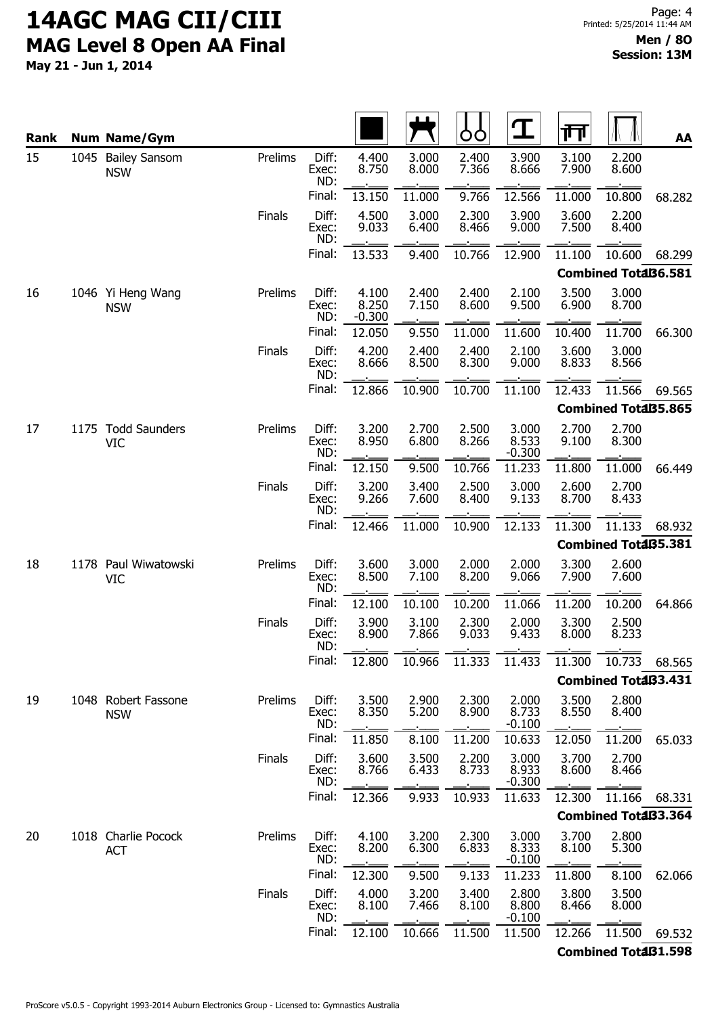May 21 - Jun 1, 2014

| Rank |  | <b>Num Name/Gym</b>                |               |                       |                            |                | Ò              | <u> ፓ</u>                  | गा             |                            | AA     |
|------|--|------------------------------------|---------------|-----------------------|----------------------------|----------------|----------------|----------------------------|----------------|----------------------------|--------|
| 15   |  | 1045 Bailey Sansom<br><b>NSW</b>   | Prelims       | Diff:<br>Exec:<br>ND: | 4.400<br>8.750             | 3.000<br>8.000 | 2.400<br>7.366 | 3.900<br>8.666             | 3.100<br>7.900 | 2.200<br>8.600             |        |
|      |  |                                    |               | Final:                | 13.150                     | 11.000         | 9.766          | 12.566                     | 11.000         | 10.800                     | 68.282 |
|      |  |                                    | Finals        | Diff:<br>Exec:<br>ND: | 4.500<br>9.033             | 3.000<br>6.400 | 2.300<br>8.466 | 3.900<br>9.000             | 3.600<br>7.500 | 2.200<br>8.400             |        |
|      |  |                                    |               | Final:                | 13.533                     | 9.400          | 10.766         | 12.900                     | 11.100         | 10.600                     | 68.299 |
|      |  |                                    |               |                       |                            |                |                |                            |                | <b>Combined TotaB6.581</b> |        |
| 16   |  | 1046 Yi Heng Wang<br><b>NSW</b>    | Prelims       | Diff:<br>Exec:<br>ND: | 4.100<br>8.250<br>$-0.300$ | 2.400<br>7.150 | 2.400<br>8.600 | 2.100<br>9.500             | 3.500<br>6.900 | 3.000<br>8.700             |        |
|      |  |                                    |               | Final:                | 12.050                     | 9.550          | 11.000         | 11.600                     | 10.400         | 11.700                     | 66.300 |
|      |  |                                    | Finals        | Diff:<br>Exec:<br>ND: | 4.200<br>8.666             | 2.400<br>8.500 | 2.400<br>8.300 | 2.100<br>9.000             | 3.600<br>8.833 | 3.000<br>8.566             |        |
|      |  |                                    |               | Final:                | 12.866                     | 10.900         | 10.700         | 11.100                     | 12.433         | 11.566                     | 69.565 |
|      |  |                                    |               |                       |                            |                |                |                            |                | <b>Combined TotaB5.865</b> |        |
| 17   |  | 1175 Todd Saunders<br><b>VIC</b>   | Prelims       | Diff:<br>Exec:<br>ND: | 3.200<br>8.950             | 2.700<br>6.800 | 2.500<br>8.266 | 3.000<br>8.533<br>$-0.300$ | 2.700<br>9.100 | 2.700<br>8.300             |        |
|      |  |                                    |               | Final:                | 12.150                     | 9.500          | 10.766         | 11.233                     | 11.800         | 11.000                     | 66.449 |
|      |  |                                    | Finals        | Diff:<br>Exec:<br>ND: | 3.200<br>9.266             | 3.400<br>7.600 | 2.500<br>8.400 | 3.000<br>9.133             | 2.600<br>8.700 | 2.700<br>8.433             |        |
|      |  |                                    |               | Final:                | 12.466                     | 11.000         | 10.900         | 12.133                     | 11.300         | 11.133                     | 68.932 |
|      |  |                                    |               |                       |                            |                |                |                            |                | <b>Combined TotaB5.381</b> |        |
| 18   |  | 1178 Paul Wiwatowski<br><b>VIC</b> | Prelims       | Diff:<br>Exec:<br>ND: | 3.600<br>8.500             | 3.000<br>7.100 | 2.000<br>8.200 | 2.000<br>9.066             | 3.300<br>7.900 | 2.600<br>7.600             |        |
|      |  |                                    |               | Final:                | 12.100                     | 10.100         | 10.200         | 11.066                     | 11.200         | 10.200                     | 64.866 |
|      |  |                                    | Finals        | Diff:<br>Exec:<br>ND: | 3.900<br>8.900             | 3.100<br>7.866 | 2.300<br>9.033 | 2.000<br>9.433             | 3.300<br>8.000 | 2.500<br>8.233             |        |
|      |  |                                    |               | Final:                | 12.800                     | 10.966         | 11.333         | 11.433                     | 11.300         | 10.733                     | 68.565 |
|      |  |                                    |               |                       |                            |                |                |                            |                | Combined Total33.431       |        |
| 19   |  | 1048 Robert Fassone<br><b>NSW</b>  | Prelims       | Diff:<br>Exec:<br>ND: | 3.500<br>8.350             | 2.900<br>5.200 | 2.300<br>8.900 | 2.000<br>8.733<br>$-0.100$ | 3.500<br>8.550 | 2.800<br>8.400             |        |
|      |  |                                    |               | Final:                | 11.850                     | 8.100          | 11.200         | 10.633                     | 12.050         | 11.200                     | 65.033 |
|      |  |                                    | Finals        | Diff:<br>Exec:<br>ND: | 3.600<br>8.766             | 3.500<br>6.433 | 2.200<br>8.733 | 3.000<br>8.933<br>$-0.300$ | 3.700<br>8.600 | 2.700<br>8.466             |        |
|      |  |                                    |               | Final:                | 12.366                     | 9.933          | 10.933         | 11.633                     | 12.300         | 11.166                     | 68.331 |
|      |  |                                    |               |                       |                            |                |                |                            |                | <b>Combined TotaB3.364</b> |        |
| 20   |  | 1018 Charlie Pocock<br><b>ACT</b>  | Prelims       | Diff:<br>Exec:<br>ND: | 4.100<br>8.200             | 3.200<br>6.300 | 2.300<br>6.833 | 3.000<br>8.333<br>$-0.100$ | 3.700<br>8.100 | 2.800<br>5.300             |        |
|      |  |                                    |               | Final:                | 12.300                     | 9.500          | 9.133          | 11.233                     | 11.800         | 8.100                      | 62.066 |
|      |  |                                    | <b>Finals</b> | Diff:<br>Exec:<br>ND: | 4.000<br>8.100             | 3.200<br>7.466 | 3.400<br>8.100 | 2.800<br>8.800<br>$-0.100$ | 3.800<br>8.466 | 3.500<br>8.000             |        |
|      |  |                                    |               | Final:                | 12.100                     | 10.666         | 11.500         | 11.500                     | 12.266         | 11.500                     | 69.532 |

Combined Totaß1.598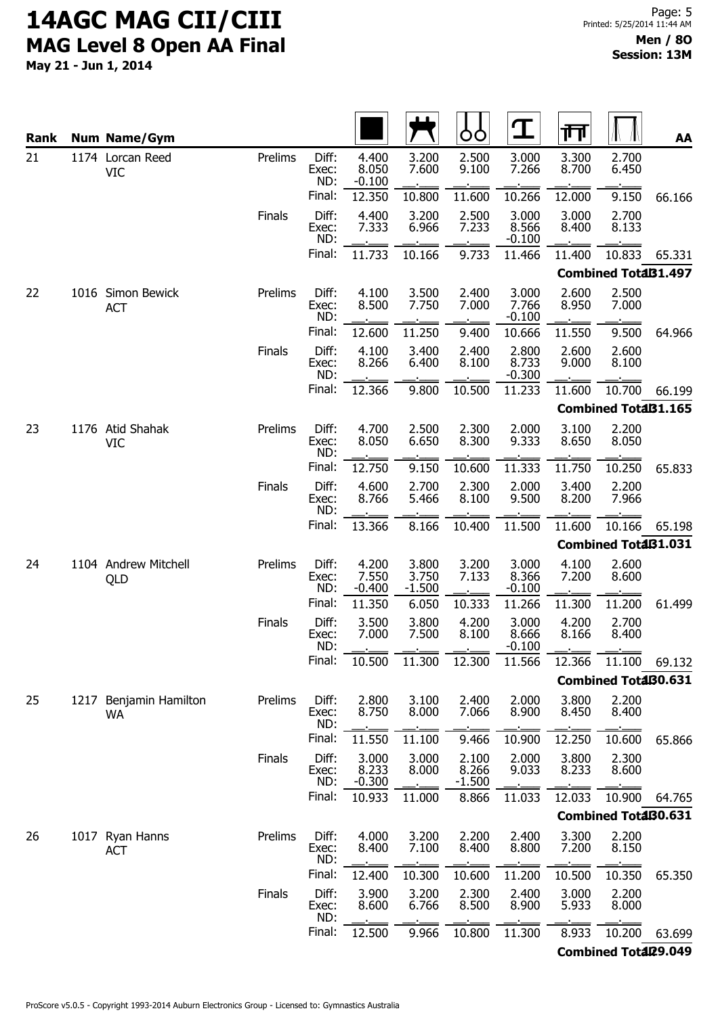| Rank |  | <b>Num Name/Gym</b>                 |               |                       |                            |                            | OO                         | $\mathbf T$                | गा             |                            | AA     |
|------|--|-------------------------------------|---------------|-----------------------|----------------------------|----------------------------|----------------------------|----------------------------|----------------|----------------------------|--------|
| 21   |  | 1174 Lorcan Reed<br>VIC             | Prelims       | Diff:<br>Exec:<br>ND: | 4.400<br>8.050<br>$-0.100$ | 3.200<br>7.600             | 2.500<br>9.100             | 3.000<br>7.266             | 3.300<br>8.700 | 2.700<br>6.450             |        |
|      |  |                                     |               | Final:                | 12.350                     | 10.800                     | 11.600                     | 10.266                     | 12.000         | 9.150                      | 66.166 |
|      |  |                                     | <b>Finals</b> | Diff:<br>Exec:<br>ND: | 4.400<br>7.333             | 3.200<br>6.966             | 2.500<br>7.233             | 3.000<br>8.566<br>$-0.100$ | 3.000<br>8.400 | 2.700<br>8.133             |        |
|      |  |                                     |               | Final:                | 11.733                     | 10.166                     | 9.733                      | 11.466                     | 11.400         | 10.833                     | 65.331 |
|      |  |                                     |               |                       |                            |                            |                            |                            |                | <b>Combined TotaB1.497</b> |        |
| 22   |  | 1016 Simon Bewick<br><b>ACT</b>     | Prelims       | Diff:<br>Exec:<br>ND: | 4.100<br>8.500             | 3.500<br>7.750             | 2.400<br>7.000             | 3.000<br>7.766<br>$-0.100$ | 2.600<br>8.950 | 2.500<br>7.000             |        |
|      |  |                                     |               | Final:                | 12.600                     | 11.250                     | 9.400                      | 10.666                     | 11.550         | 9.500                      | 64.966 |
|      |  |                                     | Finals        | Diff:<br>Exec:<br>ND: | 4.100<br>8.266             | 3.400<br>6.400             | 2.400<br>8.100             | 2.800<br>8.733<br>$-0.300$ | 2.600<br>9.000 | 2.600<br>8.100             |        |
|      |  |                                     |               | Final:                | 12.366                     | 9.800                      | 10.500                     | 11.233                     | 11.600         | 10.700                     | 66.199 |
|      |  |                                     |               |                       |                            |                            |                            |                            |                | <b>Combined TotaB1.165</b> |        |
| 23   |  | 1176 Atid Shahak<br><b>VIC</b>      | Prelims       | Diff:<br>Exec:<br>ND: | 4.700<br>8.050             | 2.500<br>6.650             | 2.300<br>8.300             | 2.000<br>9.333             | 3.100<br>8.650 | 2.200<br>8.050             |        |
|      |  |                                     |               | Final:                | 12.750                     | 9.150                      | 10.600                     | 11.333                     | 11.750         | 10.250                     | 65.833 |
|      |  |                                     | <b>Finals</b> | Diff:<br>Exec:<br>ND: | 4.600<br>8.766             | 2.700<br>5.466             | 2.300<br>8.100             | 2.000<br>9.500             | 3.400<br>8.200 | 2.200<br>7.966             |        |
|      |  |                                     |               | Final:                | 13.366                     | 8.166                      | 10.400                     | 11.500                     | 11.600         | 10.166                     | 65.198 |
|      |  |                                     |               |                       |                            |                            |                            |                            |                | <b>Combined TotaB1.031</b> |        |
| 24   |  | 1104 Andrew Mitchell<br>QLD         | Prelims       | Diff:<br>Exec:<br>ND: | 4.200<br>7.550<br>$-0.400$ | 3.800<br>3.750<br>$-1.500$ | 3.200<br>7.133             | 3.000<br>8.366<br>$-0.100$ | 4.100<br>7.200 | 2.600<br>8.600             |        |
|      |  |                                     |               | Final:                | 11.350                     | 6.050                      | 10.333                     | 11.266                     | 11.300         | 11.200                     | 61.499 |
|      |  |                                     | Finals        | Diff:<br>Exec:<br>ND: | 3.500<br>7.000             | 3.800<br>7.500             | 4.200<br>8.100             | 3.000<br>8.666<br>$-0.100$ | 4.200<br>8.166 | 2.700<br>8.400             |        |
|      |  |                                     |               | Final:                | 10.500                     | 11.300                     | 12.300                     | 11.566                     | 12.366         | 11.100                     | 69.132 |
|      |  |                                     |               |                       |                            |                            |                            |                            |                | <b>Combined TotaB0.631</b> |        |
| 25   |  | 1217 Benjamin Hamilton<br><b>WA</b> | Prelims       | Diff:<br>Exec:<br>ND: | 2.800<br>8.750             | 3.100<br>8.000             | 2.400<br>7.066             | 2.000<br>8.900             | 3.800<br>8.450 | 2.200<br>8.400             |        |
|      |  |                                     |               | Final:                | 11.550                     | 11.100                     | 9.466                      | 10.900                     | 12.250         | 10.600                     | 65.866 |
|      |  |                                     | Finals        | Diff:<br>Exec:<br>ND: | 3.000<br>8.233<br>$-0.300$ | 3.000<br>8.000             | 2.100<br>8.266<br>$-1.500$ | 2.000<br>9.033             | 3.800<br>8.233 | 2.300<br>8.600             |        |
|      |  |                                     |               | Final:                | 10.933                     | 11.000                     | 8.866                      | 11.033                     | 12.033         | 10.900                     | 64.765 |
|      |  |                                     |               |                       |                            |                            |                            |                            |                | <b>Combined TotaB0.631</b> |        |
| 26   |  | 1017 Ryan Hanns<br><b>ACT</b>       | Prelims       | Diff:<br>Exec:<br>ND: | 4.000<br>8.400             | 3.200<br>7.100             | 2.200<br>8.400             | 2.400<br>8.800             | 3.300<br>7.200 | 2.200<br>8.150             |        |
|      |  |                                     |               | Final:                | 12.400                     | 10.300                     | 10.600                     | 11.200                     | 10.500         | 10.350                     | 65.350 |
|      |  |                                     | Finals        | Diff:<br>Exec:<br>ND: | 3.900<br>8.600             | 3.200<br>6.766             | 2.300<br>8.500             | 2.400<br>8.900             | 3.000<br>5.933 | 2.200<br>8.000             |        |
|      |  |                                     |               | Final:                | 12.500                     | 9.966                      | 10.800                     | 11.300                     | 8.933          | 10.200                     | 63.699 |
|      |  |                                     |               |                       |                            |                            |                            |                            |                | Combined Total29.049       |        |